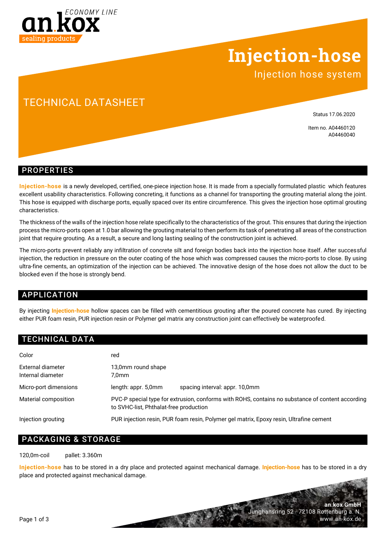

## **Injection-hose**

Injection hose system

## TECHNICAL DATASHEET

Status 17.06.2020

Item no. A04460120 A04460040

**an.kox GmbH**

www.an-kox.de

Junghansring 52 · 72108 Rottenburg a. N.

### PROPERTIES

**Injection-hose** is a newly developed, certified, one-piece injection hose. It is made from a specially formulated plastic which features excellent usability characteristics. Following concreting, it functions as a channel for transporting the grouting material along the joint. This hose is equipped with discharge ports, equally spaced over its entire circumference. This gives the injection hose optimal grouting characteristics.

The thickness of the walls of the injection hose relate specifically to the characteristics of the grout. This ensures that during the injection process the micro-ports open at 1.0 bar allowing the grouting material to then perform its task of penetrating all areas of the construction joint that require grouting. As a result, a secure and long lasting sealing of the construction joint is achieved.

The micro-ports prevent reliably any infiltration of concrete silt and foreign bodies back into the injection hose itself. After successful injection, the reduction in pressure on the outer coating of the hose which was compressed causes the micro-ports to close. By using ultra-fine cements, an optimization of the injection can be achieved. The innovative design of the hose does not allow the duct to be blocked even if the hose is strongly bend.

### APPLICATION

By injecting **Injection-hose** hollow spaces can be filled with cementitious grouting after the poured concrete has cured. By injecting either PUR foam resin, PUR injection resin or Polymer gel matrix any construction joint can effectively be waterproofed.

### TECHNICAL DATA

| Color                                  | red                                                                                                                                        |
|----------------------------------------|--------------------------------------------------------------------------------------------------------------------------------------------|
| External diameter<br>Internal diameter | 13,0mm round shape<br>7.0 <sub>mm</sub>                                                                                                    |
| Micro-port dimensions                  | spacing interval: appr. 10,0mm<br>length: appr. 5,0mm                                                                                      |
| Material composition                   | PVC-P special type for extrusion, conforms with ROHS, contains no substance of content according<br>to SVHC-list, Phthalat-free production |
| Injection grouting                     | PUR injection resin, PUR foam resin, Polymer gel matrix, Epoxy resin, Ultrafine cement                                                     |

### PACKAGING & STORAGE

120,0m-coil pallet: 3.360m

**Injection-hose** has to be stored in a dry place and protected against mechanical damage. **Injection-hose** has to be stored in a dry place and protected against mechanical damage.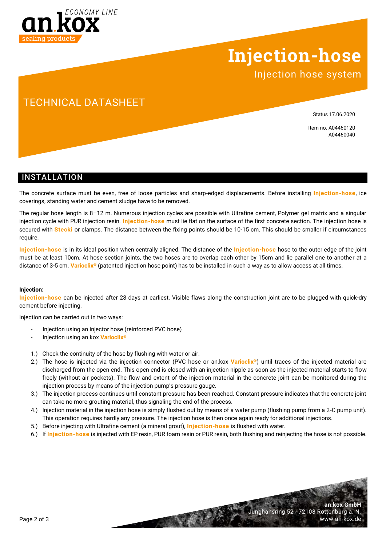

# **Injection-hose**

Injection hose system

## TECHNICAL DATASHEET

Status 17.06.2020

Item no. A04460120 A04460040

**an.kox GmbH**

www.an-kox.de

Junghansring 52 · 72108 Rottenburg a. N.

### INSTALLATION

The concrete surface must be even, free of loose particles and sharp-edged displacements. Before installing **Injection-hose**, ice coverings, standing water and cement sludge have to be removed.

The regular hose length is 8–12 m. Numerous injection cycles are possible with Ultrafine cement, Polymer gel matrix and a singular injection cycle with PUR injection resin. **Injection-hose** must lie flat on the surface of the first concrete section. The injection hose is secured with **Stecki** or clamps. The distance between the fixing points should be 10-15 cm. This should be smaller if circumstances require.

**Injection-hose** is in its ideal position when centrally aligned. The distance of the **Injection-hose** hose to the outer edge of the joint must be at least 10cm. At hose section joints, the two hoses are to overlap each other by 15cm and lie parallel one to another at a distance of 3-5 cm. **Varioclix®** (patented injection hose point) has to be installed in such a way as to allow access at all times.

### **Injection:**

**Injection-hose** can be injected after 28 days at earliest. Visible flaws along the construction joint are to be plugged with quick-dry cement before injecting.

#### Injection can be carried out in two ways:

- Injection using an injector hose (reinforced PVC hose)
- Injection using an.kox **Varioclix®**
- 1.) Check the continuity of the hose by flushing with water or air.
- 2.) The hose is injected via the injection connector (PVC hose or an.kox **Varioclix®**) until traces of the injected material are discharged from the open end. This open end is closed with an injection nipple as soon as the injected material starts to flow freely (without air pockets). The flow and extent of the injection material in the concrete joint can be monitored during the injection process by means of the injection pump's pressure gauge.
- 3.) The injection process continues until constant pressure has been reached. Constant pressure indicates that the concrete joint can take no more grouting material, thus signaling the end of the process.
- 4.) Injection material in the injection hose is simply flushed out by means of a water pump (flushing pump from a 2-C pump unit). This operation requires hardly any pressure. The injection hose is then once again ready for additional injections.
- 5.) Before injecting with Ultrafine cement (a mineral grout), **Injection-hose** is flushed with water.
- 6.) If **Injection-hose** is injected with EP resin, PUR foam resin or PUR resin, both flushing and reinjecting the hose is not possible.